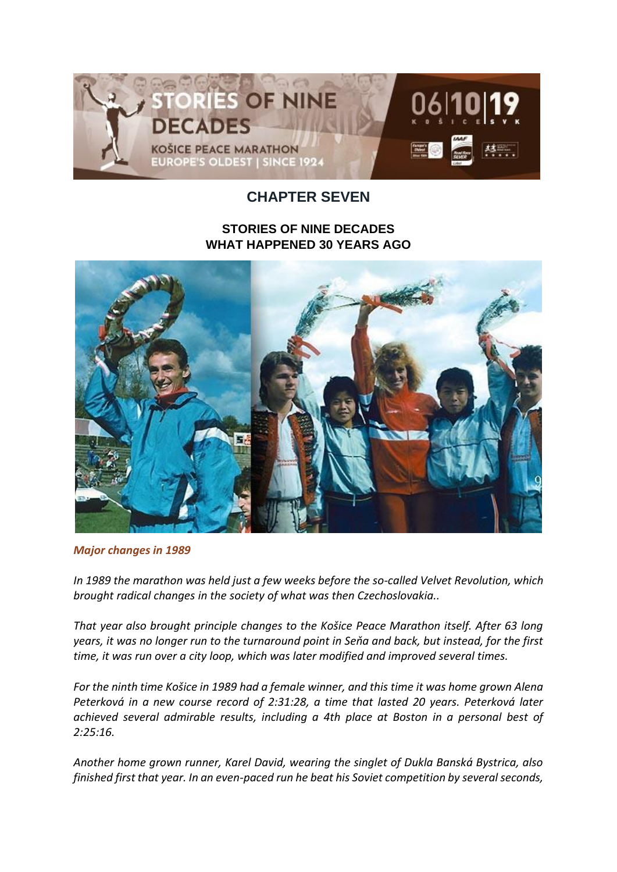

# **CHAPTER SEVEN**

## **STORIES OF NINE DECADES WHAT HAPPENED 30 YEARS AGO**



*Major changes in 1989*

*In 1989 the marathon was held just a few weeks before the so-called Velvet Revolution, which brought radical changes in the society of what was then Czechoslovakia..*

*That year also brought principle changes to the Košice Peace Marathon itself. After 63 long years, it was no longer run to the turnaround point in Seňa and back, but instead, for the first time, it was run over a city loop, which was later modified and improved several times.*

*For the ninth time Košice in 1989 had a female winner, and this time it was home grown Alena Peterková in a new course record of 2:31:28, a time that lasted 20 years. Peterková later achieved several admirable results, including a 4th place at Boston in a personal best of 2:25:16.*

*Another home grown runner, Karel David, wearing the singlet of Dukla Banská Bystrica, also finished first that year. In an even-paced run he beat his Soviet competition by several seconds,*